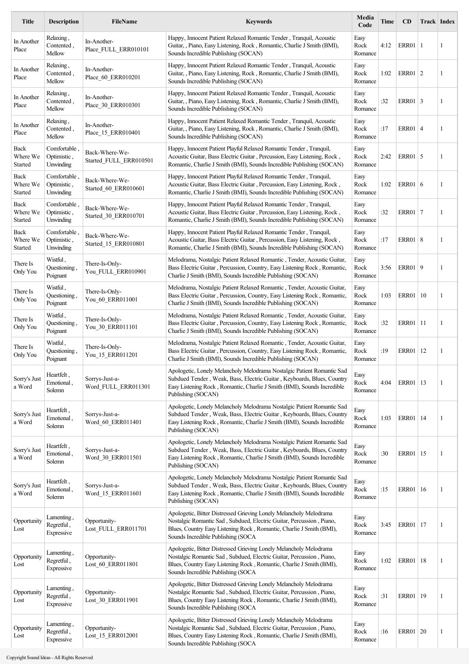| <b>Title</b>                | <b>Description</b>                       | <b>FileName</b>                          | <b>Keywords</b>                                                                                                                                                                                                                                          | Media<br>Code           | Time | CD           |    | <b>Track Index</b> |
|-----------------------------|------------------------------------------|------------------------------------------|----------------------------------------------------------------------------------------------------------------------------------------------------------------------------------------------------------------------------------------------------------|-------------------------|------|--------------|----|--------------------|
| In Another<br>Place         | Relaxing,<br>Contented,<br>Mellow        | In-Another-<br>Place FULL ERR010101      | Happy, Innocent Patient Relaxed Romantic Tender, Tranquil, Acoustic<br>Guitar, , Piano, Easy Listening, Rock, Romantic, Charlie J Smith (BMI),<br>Sounds Incredible Publishing (SOCAN)                                                                   | Easy<br>Rock<br>Romance | 4:12 | ERR01   1    |    | 1                  |
| In Another<br>Place         | Relaxing,<br>Contented,<br>Mellow        | In-Another-<br>Place 60 ERR010201        | Happy, Innocent Patient Relaxed Romantic Tender, Tranquil, Acoustic<br>Guitar, Piano, Easy Listening, Rock, Romantic, Charlie J Smith (BMI),<br>Sounds Incredible Publishing (SOCAN)                                                                     | Easy<br>Rock<br>Romance | 1:02 | ERR01   2    |    | 1                  |
| In Another<br>Place         | Relaxing,<br>Contented,<br>Mellow        | In-Another-<br>Place 30 ERR010301        | Happy, Innocent Patient Relaxed Romantic Tender, Tranquil, Acoustic<br>Guitar, Piano, Easy Listening, Rock, Romantic, Charlie J Smith (BMI),<br>Sounds Incredible Publishing (SOCAN)                                                                     | Easy<br>Rock<br>Romance | :32  | ERR01 3      |    | 1                  |
| In Another<br>Place         | Relaxing,<br>Contented,<br>Mellow        | In-Another-<br>Place 15 ERR010401        | Happy, Innocent Patient Relaxed Romantic Tender, Tranquil, Acoustic<br>Guitar, , Piano, Easy Listening, Rock, Romantic, Charlie J Smith (BMI),<br>Sounds Incredible Publishing (SOCAN)                                                                   | Easy<br>Rock<br>Romance | :17  | ERR01 4      |    | 1                  |
| Back<br>Where We<br>Started | Comfortable<br>Optimistic,<br>Unwinding  | Back-Where-We-<br>Started_FULL_ERR010501 | Happy, Innocent Patient Playful Relaxed Romantic Tender, Tranquil,<br>Acoustic Guitar, Bass Electric Guitar, Percussion, Easy Listening, Rock,<br>Romantic, Charlie J Smith (BMI), Sounds Incredible Publishing (SOCAN)                                  | Easy<br>Rock<br>Romance | 2:42 | ERR01   5    |    | 1                  |
| Back<br>Where We<br>Started | Comfortable.<br>Optimistic,<br>Unwinding | Back-Where-We-<br>Started 60 ERR010601   | Happy, Innocent Patient Playful Relaxed Romantic Tender, Tranquil,<br>Acoustic Guitar, Bass Electric Guitar, Percussion, Easy Listening, Rock,<br>Romantic, Charlie J Smith (BMI), Sounds Incredible Publishing (SOCAN)                                  | Easy<br>Rock<br>Romance | 1:02 | ERR01 6      |    | 1                  |
| Back<br>Where We<br>Started | Comfortable.<br>Optimistic,<br>Unwinding | Back-Where-We-<br>Started_30_ERR010701   | Happy, Innocent Patient Playful Relaxed Romantic Tender, Tranquil,<br>Acoustic Guitar, Bass Electric Guitar, Percussion, Easy Listening, Rock,<br>Romantic, Charlie J Smith (BMI), Sounds Incredible Publishing (SOCAN)                                  | Easy<br>Rock<br>Romance | :32  | ERR01 7      |    | 1                  |
| Back<br>Where We<br>Started | Comfortable<br>Optimistic,<br>Unwinding  | Back-Where-We-<br>Started 15 ERR010801   | Happy, Innocent Patient Playful Relaxed Romantic Tender, Tranquil,<br>Acoustic Guitar, Bass Electric Guitar, Percussion, Easy Listening, Rock,<br>Romantic, Charlie J Smith (BMI), Sounds Incredible Publishing (SOCAN)                                  | Easy<br>Rock<br>Romance | :17  | ERR01   8    |    | 1                  |
| There Is<br>Only You        | Wistful,<br>Questioning<br>Poignant      | There-Is-Only-<br>You FULL ERR010901     | Melodrama, Nostalgic Patient Relaxed Romantic, Tender, Acoustic Guitar,<br>Bass Electric Guitar, Percussion, Country, Easy Listening Rock, Romantic,<br>Charlie J Smith (BMI), Sounds Incredible Publishing (SOCAN)                                      | Easy<br>Rock<br>Romance | 3:56 | ERR01 9      |    | 1                  |
| There Is<br>Only You        | Wistful,<br>Questioning<br>Poignant      | There-Is-Only-<br>You_60_ERR011001       | Melodrama, Nostalgic Patient Relaxed Romantic, Tender, Acoustic Guitar,<br>Bass Electric Guitar, Percussion, Country, Easy Listening Rock, Romantic,<br>Charlie J Smith (BMI), Sounds Incredible Publishing (SOCAN)                                      | Easy<br>Rock<br>Romance | 1:03 | ERR01        | 10 | 1                  |
| There Is<br>Only You        | Wistful,<br>Questioning,<br>Poignant     | There-Is-Only-<br>You_30_ERR011101       | Melodrama, Nostalgic Patient Relaxed Romantic, Tender, Acoustic Guitar,<br>Bass Electric Guitar, Percussion, Country, Easy Listening Rock, Romantic,<br>Charlie J Smith (BMI), Sounds Incredible Publishing (SOCAN)                                      | Easy<br>Rock<br>Romance | :32  | ERR01        | 11 | 1                  |
| There Is<br>Only You        | Wistful,<br>Questioning<br>Poignant      | There-Is-Only-<br>You_15_ERR011201       | Melodrama, Nostalgic Patient Relaxed Romantic, Tender, Acoustic Guitar,<br>Bass Electric Guitar, Percussion, Country, Easy Listening Rock, Romantic,<br>Charlie J Smith (BMI), Sounds Incredible Publishing (SOCAN)                                      | Easy<br>Rock<br>Romance | :19  | ERR01        | 12 | 1                  |
| Sorry's Just<br>a Word      | Heartfelt,<br>Emotional,<br>Solemn       | Sorrys-Just-a-<br>Word_FULL_ERR011301    | Apologetic, Lonely Melancholy Melodrama Nostalgic Patient Romantic Sad<br>Subdued Tender, Weak, Bass, Electric Guitar, Keyboards, Blues, Country<br>Easy Listening Rock, Romantic, Charlie J Smith (BMI), Sounds Incredible<br>Publishing (SOCAN)        | Easy<br>Rock<br>Romance | 4:04 | ERR01   13   |    | 1                  |
| Sorry's Just<br>a Word      | Heartfelt,<br>Emotional,<br>Solemn       | Sorrys-Just-a-<br>Word_60_ERR011401      | Apologetic, Lonely Melancholy Melodrama Nostalgic Patient Romantic Sad<br>Subdued Tender, Weak, Bass, Electric Guitar, Keyboards, Blues, Country<br>Easy Listening Rock, Romantic, Charlie J Smith (BMI), Sounds Incredible<br>Publishing (SOCAN)        | Easy<br>Rock<br>Romance | 1:03 | <b>ERR01</b> | 14 | 1                  |
| Sorry's Just<br>a Word      | Heartfelt,<br>Emotional,<br>Solemn       | Sorrys-Just-a-<br>Word_30_ERR011501      | Apologetic, Lonely Melancholy Melodrama Nostalgic Patient Romantic Sad<br>Subdued Tender, Weak, Bass, Electric Guitar, Keyboards, Blues, Country<br>Easy Listening Rock, Romantic, Charlie J Smith (BMI), Sounds Incredible<br>Publishing (SOCAN)        | Easy<br>Rock<br>Romance | :30  | ERR01        | 15 | 1                  |
| Sorry's Just<br>a Word      | Heartfelt,<br>Emotional,<br>Solemn       | Sorrys-Just-a-<br>Word 15 ERR011601      | Apologetic, Lonely Melancholy Melodrama Nostalgic Patient Romantic Sad<br>Subdued Tender, Weak, Bass, Electric Guitar, Keyboards, Blues, Country<br>Easy Listening Rock, Romantic, Charlie J Smith (BMI), Sounds Incredible<br>Publishing (SOCAN)        | Easy<br>Rock<br>Romance | :15  | ERR01        | 16 | 1                  |
| Opportunity<br>Lost         | Lamenting,<br>Regretful,<br>Expressive   | Opportunity-<br>Lost_FULL_ERR011701      | Apologetic, Bitter Distressed Grieving Lonely Melancholy Melodrama<br>Nostalgic Romantic Sad, Subdued, Electric Guitar, Percussion, Piano,<br>Blues, Country Easy Listening Rock, Romantic, Charlie J Smith (BMI),<br>Sounds Incredible Publishing (SOCA | Easy<br>Rock<br>Romance | 3:45 | ERR01        | 17 | 1                  |
| Opportunity<br>Lost         | Lamenting,<br>Regretful,<br>Expressive   | Opportunity-<br>Lost 60 ERR011801        | Apologetic, Bitter Distressed Grieving Lonely Melancholy Melodrama<br>Nostalgic Romantic Sad, Subdued, Electric Guitar, Percussion, Piano,<br>Blues, Country Easy Listening Rock, Romantic, Charlie J Smith (BMI),<br>Sounds Incredible Publishing (SOCA | Easy<br>Rock<br>Romance | 1:02 | ERR01        | 18 | 1                  |
| Opportunity<br>Lost         | Lamenting,<br>Regretful,<br>Expressive   | Opportunity-<br>Lost 30 ERR011901        | Apologetic, Bitter Distressed Grieving Lonely Melancholy Melodrama<br>Nostalgic Romantic Sad, Subdued, Electric Guitar, Percussion, Piano,<br>Blues, Country Easy Listening Rock, Romantic, Charlie J Smith (BMI),<br>Sounds Incredible Publishing (SOCA | Easy<br>Rock<br>Romance | :31  | ERR01        | 19 | 1                  |
| Opportunity<br>Lost         | Lamenting,<br>Regretful,<br>Expressive   | Opportunity-<br>Lost_15_ERR012001        | Apologetic, Bitter Distressed Grieving Lonely Melancholy Melodrama<br>Nostalgic Romantic Sad, Subdued, Electric Guitar, Percussion, Piano,<br>Blues, Country Easy Listening Rock, Romantic, Charlie J Smith (BMI),<br>Sounds Incredible Publishing (SOCA | Easy<br>Rock<br>Romance | :16  | ERR01   20   |    | 1                  |